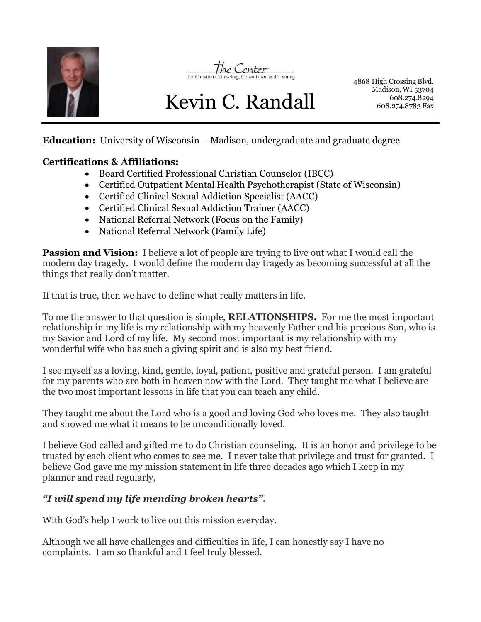



# Kevin C. Randall

4868 High Crossing Blvd. Madison, WI 53704 608.274.8294 608.274.8783 Fax

**Education:** University of Wisconsin – Madison, undergraduate and graduate degree

### **Certifications & Affiliations:**

- Board Certified Professional Christian Counselor (IBCC)
- Certified Outpatient Mental Health Psychotherapist (State of Wisconsin)
- Certified Clinical Sexual Addiction Specialist (AACC)
- Certified Clinical Sexual Addiction Trainer (AACC)
- National Referral Network (Focus on the Family)
- National Referral Network (Family Life)

**Passion and Vision:** I believe a lot of people are trying to live out what I would call the modern day tragedy. I would define the modern day tragedy as becoming successful at all the things that really don't matter.

If that is true, then we have to define what really matters in life.

To me the answer to that question is simple, **RELATIONSHIPS.** For me the most important relationship in my life is my relationship with my heavenly Father and his precious Son, who is my Savior and Lord of my life. My second most important is my relationship with my wonderful wife who has such a giving spirit and is also my best friend.

I see myself as a loving, kind, gentle, loyal, patient, positive and grateful person. I am grateful for my parents who are both in heaven now with the Lord. They taught me what I believe are the two most important lessons in life that you can teach any child.

They taught me about the Lord who is a good and loving God who loves me. They also taught and showed me what it means to be unconditionally loved.

I believe God called and gifted me to do Christian counseling. It is an honor and privilege to be trusted by each client who comes to see me. I never take that privilege and trust for granted. I believe God gave me my mission statement in life three decades ago which I keep in my planner and read regularly,

## *"I will spend my life mending broken hearts".*

With God's help I work to live out this mission everyday.

Although we all have challenges and difficulties in life, I can honestly say I have no complaints. I am so thankful and I feel truly blessed.